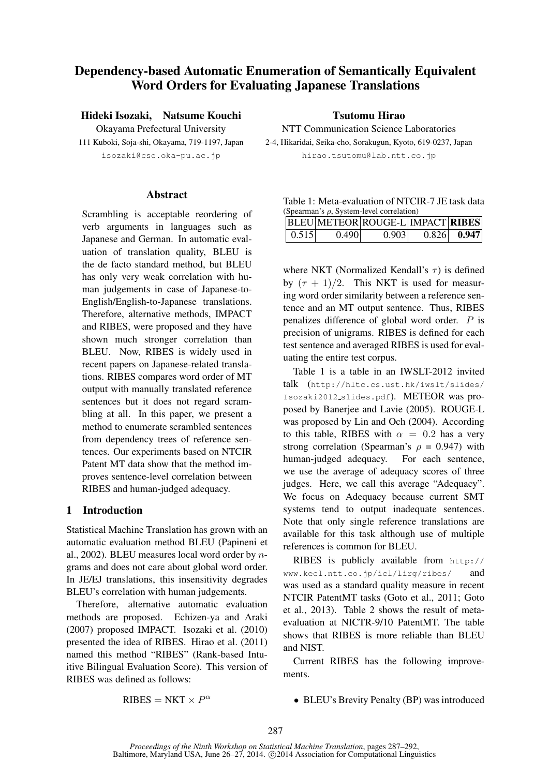# Dependency-based Automatic Enumeration of Semantically Equivalent Word Orders for Evaluating Japanese Translations

Hideki Isozaki, Natsume Kouchi

Okayama Prefectural University 111 Kuboki, Soja-shi, Okayama, 719-1197, Japan isozaki@cse.oka-pu.ac.jp

### **Abstract**

Scrambling is acceptable reordering of verb arguments in languages such as Japanese and German. In automatic evaluation of translation quality, BLEU is the de facto standard method, but BLEU has only very weak correlation with human judgements in case of Japanese-to-English/English-to-Japanese translations. Therefore, alternative methods, IMPACT and RIBES, were proposed and they have shown much stronger correlation than BLEU. Now, RIBES is widely used in recent papers on Japanese-related translations. RIBES compares word order of MT output with manually translated reference sentences but it does not regard scrambling at all. In this paper, we present a method to enumerate scrambled sentences from dependency trees of reference sentences. Our experiments based on NTCIR Patent MT data show that the method improves sentence-level correlation between RIBES and human-judged adequacy.

# 1 Introduction

Statistical Machine Translation has grown with an automatic evaluation method BLEU (Papineni et al., 2002). BLEU measures local word order by ngrams and does not care about global word order. In JE/EJ translations, this insensitivity degrades BLEU's correlation with human judgements.

Therefore, alternative automatic evaluation methods are proposed. Echizen-ya and Araki (2007) proposed IMPACT. Isozaki et al. (2010) presented the idea of RIBES. Hirao et al. (2011) named this method "RIBES" (Rank-based Intuitive Bilingual Evaluation Score). This version of RIBES was defined as follows:

Tsutomu Hirao

NTT Communication Science Laboratories 2-4, Hikaridai, Seika-cho, Sorakugun, Kyoto, 619-0237, Japan hirao.tsutomu@lab.ntt.co.jp

| Table 1: Meta-evaluation of NTCIR-7 JE task data |  |
|--------------------------------------------------|--|
| (Spearman's $\rho$ , System-level correlation)   |  |
|                                                  |  |

|                   |       | BLEU METEOR ROUGE-L IMPACT RIBES |               |
|-------------------|-------|----------------------------------|---------------|
| $\mid 0.515 \mid$ | 0.490 | 0.903                            | $0.826$ 0.947 |

where NKT (Normalized Kendall's  $\tau$ ) is defined by  $(\tau + 1)/2$ . This NKT is used for measuring word order similarity between a reference sentence and an MT output sentence. Thus, RIBES penalizes difference of global word order. P is precision of unigrams. RIBES is defined for each test sentence and averaged RIBES is used for evaluating the entire test corpus.

Table 1 is a table in an IWSLT-2012 invited talk (http://hltc.cs.ust.hk/iwslt/slides/ Isozaki2012 slides.pdf). METEOR was proposed by Banerjee and Lavie (2005). ROUGE-L was proposed by Lin and Och (2004). According to this table, RIBES with  $\alpha = 0.2$  has a very strong correlation (Spearman's  $\rho = 0.947$ ) with human-judged adequacy. For each sentence, we use the average of adequacy scores of three judges. Here, we call this average "Adequacy". We focus on Adequacy because current SMT systems tend to output inadequate sentences. Note that only single reference translations are available for this task although use of multiple references is common for BLEU.

RIBES is publicly available from http:// www.kecl.ntt.co.jp/icl/lirg/ribes/ and was used as a standard quality measure in recent NTCIR PatentMT tasks (Goto et al., 2011; Goto et al., 2013). Table 2 shows the result of metaevaluation at NICTR-9/10 PatentMT. The table shows that RIBES is more reliable than BLEU and NIST.

Current RIBES has the following improvements.

 $RIBES = NKT \times P^{\alpha}$ 

• BLEU's Brevity Penalty (BP) was introduced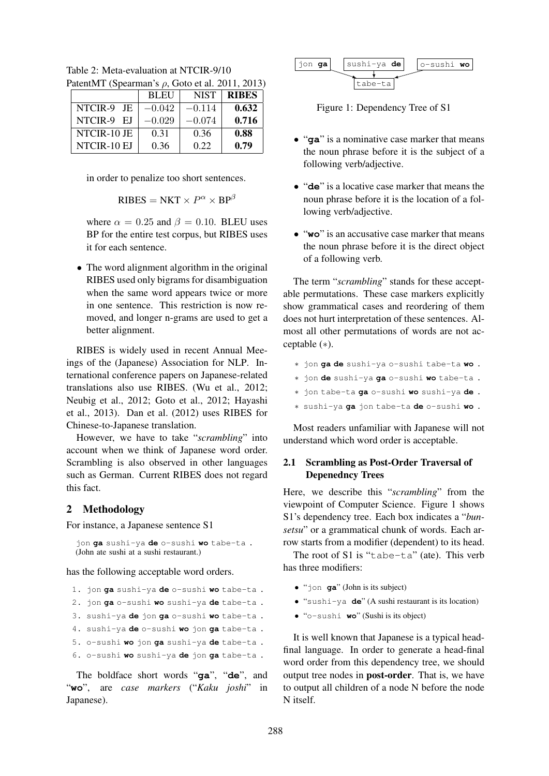| $\alpha$ at the $\alpha$ is pearling $\alpha$ by $\rho$ , OO(O) of all 2011, 2015 |             |             |              |  |  |  |
|-----------------------------------------------------------------------------------|-------------|-------------|--------------|--|--|--|
|                                                                                   | <b>BLEU</b> | <b>NIST</b> | <b>RIBES</b> |  |  |  |
| NTCIR-9 JE                                                                        | $-0.042$    | $-0.114$    | 0.632        |  |  |  |
| NTCIR-9 EJ                                                                        | $-0.029$    | $-0.074$    | 0.716        |  |  |  |
| NTCIR-10 JE                                                                       | 0.31        | 0.36        | 0.88         |  |  |  |
| NTCIR-10 EJ                                                                       | 0.36        | 0.22        | 0.79         |  |  |  |

Table 2: Meta-evaluation at NTCIR-9/10 PatentMT (Spearman's ρ, Goto et al. 2011, 2013).

in order to penalize too short sentences.

$$
RIBES = NKT \times P^{\alpha} \times BP^{\beta}
$$

where  $\alpha = 0.25$  and  $\beta = 0.10$ . BLEU uses BP for the entire test corpus, but RIBES uses it for each sentence.

• The word alignment algorithm in the original RIBES used only bigrams for disambiguation when the same word appears twice or more in one sentence. This restriction is now removed, and longer n-grams are used to get a better alignment.

RIBES is widely used in recent Annual Meeings of the (Japanese) Association for NLP. International conference papers on Japanese-related translations also use RIBES. (Wu et al., 2012; Neubig et al., 2012; Goto et al., 2012; Hayashi et al., 2013). Dan et al. (2012) uses RIBES for Chinese-to-Japanese translation.

However, we have to take "*scrambling*" into account when we think of Japanese word order. Scrambling is also observed in other languages such as German. Current RIBES does not regard this fact.

# 2 Methodology

For instance, a Japanese sentence S1

jon **ga** sushi-ya **de** o-sushi **wo** tabe-ta . (John ate sushi at a sushi restaurant.)

has the following acceptable word orders.

- 1. jon **ga** sushi-ya **de** o-sushi **wo** tabe-ta .
- 2. jon **ga** o-sushi **wo** sushi-ya **de** tabe-ta .
- 3. sushi-ya **de** jon **ga** o-sushi **wo** tabe-ta .
- 4. sushi-ya **de** o-sushi **wo** jon **ga** tabe-ta .
- 5. o-sushi **wo** jon **ga** sushi-ya **de** tabe-ta .
- 6. o-sushi **wo** sushi-ya **de** jon **ga** tabe-ta .

The boldface short words "**ga**", "**de**", and "**wo**", are *case markers* ("*Kaku joshi*" in Japanese).

$$
\begin{array}{|c|c|c|c|}\n\hline\n\text{jon ga} & \text{subi-ya de} & \text{o-sushi wo} \\
\hline\n\text{tabe-ta} & & & \\
\hline\n\end{array}
$$

Figure 1: Dependency Tree of S1

- "**ga**" is a nominative case marker that means the noun phrase before it is the subject of a following verb/adjective.
- "**de**" is a locative case marker that means the noun phrase before it is the location of a following verb/adjective.
- "**wo**" is an accusative case marker that means the noun phrase before it is the direct object of a following verb.

The term "*scrambling*" stands for these acceptable permutations. These case markers explicitly show grammatical cases and reordering of them does not hurt interpretation of these sentences. Almost all other permutations of words are not acceptable (∗).

- ∗ jon **ga de** sushi-ya o-sushi tabe-ta **wo** .
- ∗ jon **de** sushi-ya **ga** o-sushi **wo** tabe-ta .
- ∗ jon tabe-ta **ga** o-sushi **wo** sushi-ya **de** .
- ∗ sushi-ya **ga** jon tabe-ta **de** o-sushi **wo** .

Most readers unfamiliar with Japanese will not understand which word order is acceptable.

# 2.1 Scrambling as Post-Order Traversal of Depenedncy Trees

Here, we describe this "*scrambling*" from the viewpoint of Computer Science. Figure 1 shows S1's dependency tree. Each box indicates a "*bunsetsu*" or a grammatical chunk of words. Each arrow starts from a modifier (dependent) to its head.

The root of S1 is "tabe-ta" (ate). This verb has three modifiers:

- "jon **ga**" (John is its subject)
- "sushi-ya **de**" (A sushi restaurant is its location)
- "o-sushi **wo**" (Sushi is its object)

It is well known that Japanese is a typical headfinal language. In order to generate a head-final word order from this dependency tree, we should output tree nodes in post-order. That is, we have to output all children of a node N before the node N itself.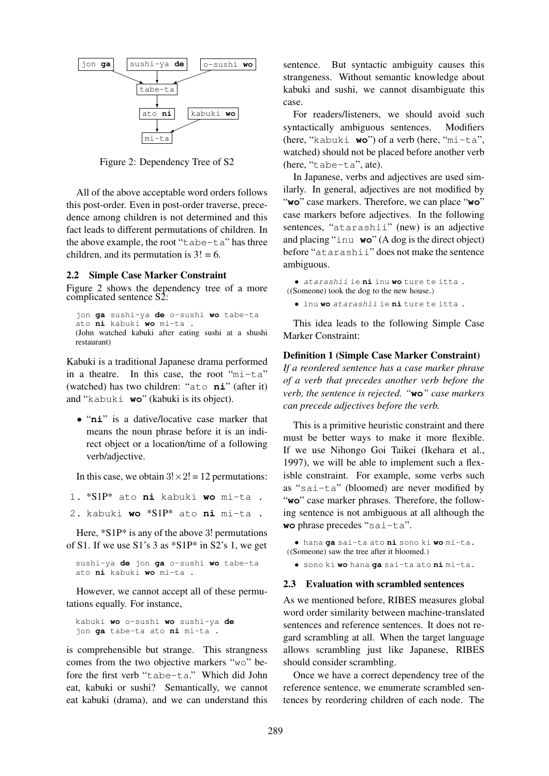

Figure 2: Dependency Tree of S2

All of the above acceptable word orders follows this post-order. Even in post-order traverse, precedence among children is not determined and this fact leads to different permutations of children. In the above example, the root "tabe-ta" has three children, and its permutation is  $3! = 6$ .

#### 2.2 Simple Case Marker Constraint

Figure 2 shows the dependency tree of a more complicated sentence S2:

```
jon ga sushi-ya de o-sushi wo tabe-ta
ato ni kabuki wo mi-ta .
(John watched kabuki after eating sushi at a shushi
restaurant)
```
Kabuki is a traditional Japanese drama performed in a theatre. In this case, the root "mi-ta" (watched) has two children: "ato **ni**" (after it) and "kabuki **wo**" (kabuki is its object).

• "**ni**" is a dative/locative case marker that means the noun phrase before it is an indirect object or a location/time of a following verb/adjective.

In this case, we obtain  $3! \times 2! = 12$  permutations:

- 1. \*S1P\* ato **ni** kabuki **wo** mi-ta .
- 2. kabuki **wo** \*S1P\* ato **ni** mi-ta .

Here, \*S1P\* is any of the above 3! permutations of S1. If we use  $S1's 3 as *S1P* in S2's 1, we get$ 

```
sushi-ya de jon ga o-sushi wo tabe-ta
ato ni kabuki wo mi-ta .
```
However, we cannot accept all of these permutations equally. For instance,

```
kabuki wo o-sushi wo sushi-ya de
jon ga tabe-ta ato ni mi-ta .
```
is comprehensible but strange. This strangness comes from the two objective markers "wo" before the first verb "tabe-ta." Which did John eat, kabuki or sushi? Semantically, we cannot eat kabuki (drama), and we can understand this sentence. But syntactic ambiguity causes this strangeness. Without semantic knowledge about kabuki and sushi, we cannot disambiguate this case.

For readers/listeners, we should avoid such syntactically ambiguous sentences. Modifiers (here, "kabuki **wo**") of a verb (here, "mi-ta", watched) should not be placed before another verb (here, "tabe-ta", ate).

In Japanese, verbs and adjectives are used similarly. In general, adjectives are not modified by "**wo**" case markers. Therefore, we can place "**wo**" case markers before adjectives. In the following sentences, "atarashii" (new) is an adjective and placing "inu **wo**" (A dog is the direct object) before "atarashii" does not make the sentence ambiguous.

• atarashii ie **ni** inu **wo** ture te itta . ((Someone) took the dog to the new house.)

• inu **wo** atarashii ie **ni** ture te itta .

This idea leads to the following Simple Case Marker Constraint:

#### Definition 1 (Simple Case Marker Constraint)

*If a reordered sentence has a case marker phrase of a verb that precedes another verb before the verb, the sentence is rejected. "***wo***" case markers can precede adjectives before the verb.*

This is a primitive heuristic constraint and there must be better ways to make it more flexible. If we use Nihongo Goi Taikei (Ikehara et al., 1997), we will be able to implement such a flexisble constraint. For example, some verbs such as "sai-ta" (bloomed) are never modified by "wo" case marker phrases. Therefore, the following sentence is not ambiguous at all although the **wo** phrase precedes "sai-ta".

• hana **ga** sai-ta ato **ni** sono ki **wo** mi-ta. ((Someone) saw the tree after it bloomed.)

• sono ki **wo** hana **ga** sai-ta ato **ni** mi-ta.

#### 2.3 Evaluation with scrambled sentences

As we mentioned before, RIBES measures global word order similarity between machine-translated sentences and reference sentences. It does not regard scrambling at all. When the target language allows scrambling just like Japanese, RIBES should consider scrambling.

Once we have a correct dependency tree of the reference sentence, we enumerate scrambled sentences by reordering children of each node. The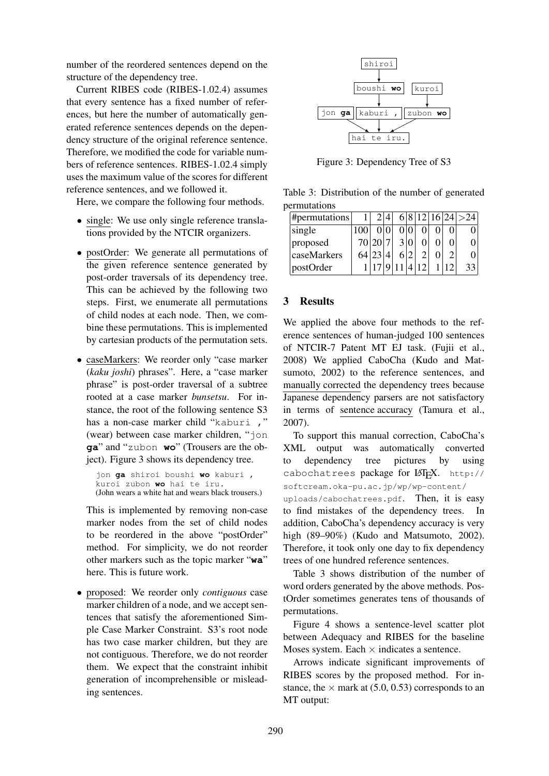number of the reordered sentences depend on the structure of the dependency tree.

Current RIBES code (RIBES-1.02.4) assumes that every sentence has a fixed number of references, but here the number of automatically generated reference sentences depends on the dependency structure of the original reference sentence. Therefore, we modified the code for variable numbers of reference sentences. RIBES-1.02.4 simply uses the maximum value of the scores for different reference sentences, and we followed it.

Here, we compare the following four methods.

- single: We use only single reference translations provided by the NTCIR organizers.
- postOrder: We generate all permutations of the given reference sentence generated by post-order traversals of its dependency tree. This can be achieved by the following two steps. First, we enumerate all permutations of child nodes at each node. Then, we combine these permutations. This is implemented by cartesian products of the permutation sets.
- caseMarkers: We reorder only "case marker (*kaku joshi*) phrases". Here, a "case marker phrase" is post-order traversal of a subtree rooted at a case marker *bunsetsu*. For instance, the root of the following sentence S3 has a non-case marker child "kaburi ," (wear) between case marker children, "jon **ga**" and "zubon **wo**" (Trousers are the object). Figure 3 shows its dependency tree.

```
jon ga shiroi boushi wo kaburi ,
kuroi zubon wo hai te iru.
(John wears a white hat and wears black trousers.)
```
This is implemented by removing non-case marker nodes from the set of child nodes to be reordered in the above "postOrder" method. For simplicity, we do not reorder other markers such as the topic marker "**wa**" here. This is future work.

• proposed: We reorder only *contiguous* case marker children of a node, and we accept sentences that satisfy the aforementioned Simple Case Marker Constraint. S3's root node has two case marker children, but they are not contiguous. Therefore, we do not reorder them. We expect that the constraint inhibit generation of incomprehensible or misleading sentences.



Figure 3: Dependency Tree of S3

Table 3: Distribution of the number of generated permutations

| #permutations |     |       |  |  |  | 6 8 12 16 24 >24 |
|---------------|-----|-------|--|--|--|------------------|
| single        |     |       |  |  |  |                  |
| proposed      |     | 70 20 |  |  |  |                  |
| caseMarkers   | 641 |       |  |  |  |                  |
| postOrder     |     |       |  |  |  | 33               |

# 3 Results

We applied the above four methods to the reference sentences of human-judged 100 sentences of NTCIR-7 Patent MT EJ task. (Fujii et al., 2008) We applied CaboCha (Kudo and Matsumoto, 2002) to the reference sentences, and manually corrected the dependency trees because Japanese dependency parsers are not satisfactory in terms of sentence accuracy (Tamura et al., 2007).

To support this manual correction, CaboCha's XML output was automatically converted to dependency tree pictures by using cabochatrees package for LAT<sub>EX</sub>. http:// softcream.oka-pu.ac.jp/wp/wp-content/ uploads/cabochatrees.pdf. Then, it is easy

to find mistakes of the dependency trees. In addition, CaboCha's dependency accuracy is very high (89–90%) (Kudo and Matsumoto, 2002). Therefore, it took only one day to fix dependency trees of one hundred reference sentences.

Table 3 shows distribution of the number of word orders generated by the above methods. PostOrder sometimes generates tens of thousands of permutations.

Figure 4 shows a sentence-level scatter plot between Adequacy and RIBES for the baseline Moses system. Each  $\times$  indicates a sentence.

Arrows indicate significant improvements of RIBES scores by the proposed method. For instance, the  $\times$  mark at (5.0, 0.53) corresponds to an MT output: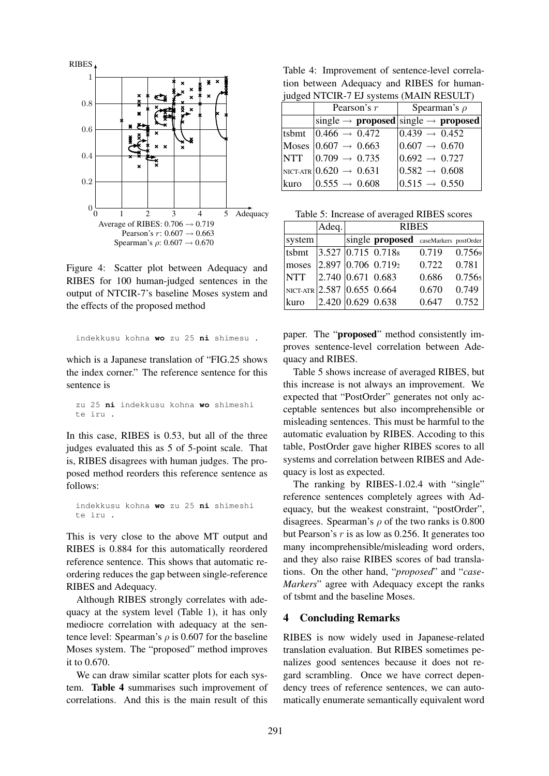

Figure 4: Scatter plot between Adequacy and RIBES for 100 human-judged sentences in the output of NTCIR-7's baseline Moses system and the effects of the proposed method

```
indekkusu kohna wo zu 25 ni shimesu .
```
which is a Japanese translation of "FIG.25 shows the index corner." The reference sentence for this sentence is

zu 25 **ni** indekkusu kohna **wo** shimeshi te iru .

In this case, RIBES is 0.53, but all of the three judges evaluated this as 5 of 5-point scale. That is, RIBES disagrees with human judges. The proposed method reorders this reference sentence as follows:

indekkusu kohna **wo** zu 25 **ni** shimeshi te iru .

This is very close to the above MT output and RIBES is 0.884 for this automatically reordered reference sentence. This shows that automatic reordering reduces the gap between single-reference RIBES and Adequacy.

Although RIBES strongly correlates with adequacy at the system level (Table 1), it has only mediocre correlation with adequacy at the sentence level: Spearman's  $\rho$  is 0.607 for the baseline Moses system. The "proposed" method improves it to 0.670.

We can draw similar scatter plots for each system. Table 4 summarises such improvement of correlations. And this is the main result of this

Table 4: Improvement of sentence-level correlation between Adequacy and RIBES for humanjudged NTCIR-7 EL systems (MAIN RESULT)

| $\mu$ and $\mu$ and $\mu$ and $\mu$ and $\mu$ and $\mu$ and $\mu$ and $\mu$ |                                      |                                                             |  |  |  |  |
|-----------------------------------------------------------------------------|--------------------------------------|-------------------------------------------------------------|--|--|--|--|
|                                                                             | Pearson's $r$                        | Spearman's $\rho$                                           |  |  |  |  |
|                                                                             |                                      | single $\rightarrow$ proposed single $\rightarrow$ proposed |  |  |  |  |
|                                                                             | tsbmt $ 0.466 \rightarrow 0.472 $    | $ 0.439 \rightarrow 0.452$                                  |  |  |  |  |
|                                                                             | Moses $ 0.607 \rightarrow 0.663$     | $ 0.607 \rightarrow 0.670$                                  |  |  |  |  |
|                                                                             | NTT $ 0.709 \rightarrow 0.735$       | $ 0.692 \rightarrow 0.727$                                  |  |  |  |  |
|                                                                             | $NICT-ATR$ $0.620 \rightarrow 0.631$ | $ 0.582 \rightarrow 0.608$                                  |  |  |  |  |
| kuro                                                                        | $ 0.555 \rightarrow 0.608$           | $ 0.515 \rightarrow 0.550$                                  |  |  |  |  |

|            | Adeq. | <b>RIBES</b>                                        |       |        |  |
|------------|-------|-----------------------------------------------------|-------|--------|--|
| system     |       | single proposed caseMarkers postOrder               |       |        |  |
| tsbmt      |       | 3.527 0.715 0.718                                   | 0.719 | 0.7569 |  |
| moses      |       | $\left  2.897 \right  0.706 \left  0.719_2 \right $ | 0.722 | 0.781  |  |
| <b>NTT</b> |       | $2.740\, 0.671\, 0.683$                             | 0.686 | 0.7565 |  |
|            |       | $NICT-ATR$ 2.587 0.655 0.664                        | 0.670 | 0.749  |  |
| kuro       |       | 2.420   0.629   0.638                               | 0.647 | 0.752  |  |

paper. The "proposed" method consistently improves sentence-level correlation between Adequacy and RIBES.

Table 5 shows increase of averaged RIBES, but this increase is not always an improvement. We expected that "PostOrder" generates not only acceptable sentences but also incomprehensible or misleading sentences. This must be harmful to the automatic evaluation by RIBES. Accoding to this table, PostOrder gave higher RIBES scores to all systems and correlation between RIBES and Adequacy is lost as expected.

The ranking by RIBES-1.02.4 with "single" reference sentences completely agrees with Adequacy, but the weakest constraint, "postOrder", disagrees. Spearman's  $\rho$  of the two ranks is 0.800 but Pearson's  $r$  is as low as 0.256. It generates too many incomprehensible/misleading word orders, and they also raise RIBES scores of bad translations. On the other hand, "*proposed*" and "*case-Markers*" agree with Adequacy except the ranks of tsbmt and the baseline Moses.

### 4 Concluding Remarks

RIBES is now widely used in Japanese-related translation evaluation. But RIBES sometimes penalizes good sentences because it does not regard scrambling. Once we have correct dependency trees of reference sentences, we can automatically enumerate semantically equivalent word